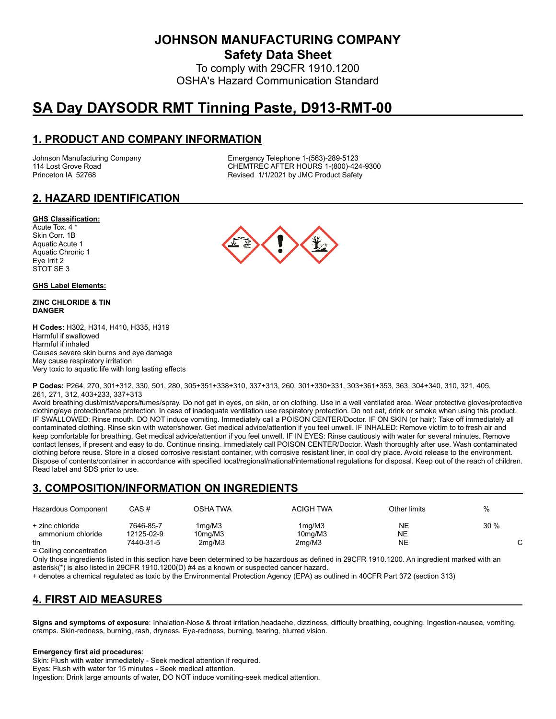**JOHNSON MANUFACTURING COMPANY**

**Safety Data Sheet**

To comply with 29CFR 1910.1200 OSHA's Hazard Communication Standard

# **SA Day DAYSODR RMT Tinning Paste, D913-RMT-00**

### **1. PRODUCT AND COMPANY INFORMATION**

Johnson Manufacturing Company Emergency Telephone 1-(563)-289-5123 114 Lost Grove Road Theory Chemister Chemister Chemister Chemister Chemister Chemister Chemister Chemister Chem<br>Chemister Chemister Revised 1/1/2021 by JMC Product Safety Revised 1/1/2021 by JMC Product Safety

# **2. HAZARD IDENTIFICATION**

#### **GHS Classification:**

Acute Tox. 4 \* Skin Corr. 1B Aquatic Acute 1 Aquatic Chronic 1 Eye Irrit 2 STOT SE 3

#### **GHS Label Elements:**

#### **ZINC CHLORIDE & TIN DANGER**

**H Codes:** H302, H314, H410, H335, H319 Harmful if swallowed Harmful if inhaled Causes severe skin burns and eye damage May cause respiratory irritation Very toxic to aquatic life with long lasting effects



**P Codes:** P264, 270, 301+312, 330, 501, 280, 305+351+338+310, 337+313, 260, 301+330+331, 303+361+353, 363, 304+340, 310, 321, 405, 261, 271, 312, 403+233, 337+313

Avoid breathing dust/mist/vapors/fumes/spray. Do not get in eyes, on skin, or on clothing. Use in a well ventilated area. Wear protective gloves/protective clothing/eye protection/face protection. In case of inadequate ventilation use respiratory protection. Do not eat, drink or smoke when using this product. IF SWALLOWED: Rinse mouth. DO NOT induce vomiting. Immediately call a POISON CENTER/Doctor. IF ON SKIN (or hair): Take off immediately all contaminated clothing. Rinse skin with water/shower. Get medical advice/attention if you feel unwell. IF INHALED: Remove victim to to fresh air and keep comfortable for breathing. Get medical advice/attention if you feel unwell. IF IN EYES: Rinse cautiously with water for several minutes. Remove contact lenses, if present and easy to do. Continue rinsing. Immediately call POISON CENTER/Doctor. Wash thoroughly after use. Wash contaminated clothing before reuse. Store in a closed corrosive resistant container, with corrosive resistant liner, in cool dry place. Avoid release to the environment. Dispose of contents/container in accordance with specified local/regional/national/international regulations for disposal. Keep out of the reach of children. Read label and SDS prior to use.

#### **3. COMPOSITION/INFORMATION ON INGREDIENTS**

| Hazardous Component                       | CAS #                   | OSHA TWA          | <b>ACIGH TWA</b>               | Other limits | %      |
|-------------------------------------------|-------------------------|-------------------|--------------------------------|--------------|--------|
| + zinc chloride<br>ammonium chloride      | 7646-85-7<br>12125-02-9 | 1mg/M3<br>10mg/M3 | 1ma/M3<br>10 <sub>mg</sub> /M3 | NE<br>NE     | $30\%$ |
| tin<br>$\sim$ $\sim$ $\sim$ $\sim$ $\sim$ | 7440-31-5               | 2mg/M3            | 2mq/M3                         | NE           |        |

= Ceiling concentration

Only those ingredients listed in this section have been determined to be hazardous as defined in 29CFR 1910.1200. An ingredient marked with an asterisk(\*) is also listed in 29CFR 1910.1200(D) #4 as a known or suspected cancer hazard.

+ denotes a chemical regulated as toxic by the Environmental Protection Agency (EPA) as outlined in 40CFR Part 372 (section 313)

# **4. FIRST AID MEASURES**

**Signs and symptoms of exposure**: Inhalation-Nose & throat irritation,headache, dizziness, difficulty breathing, coughing. Ingestion-nausea, vomiting, cramps. Skin-redness, burning, rash, dryness. Eye-redness, burning, tearing, blurred vision.

#### **Emergency first aid procedures**:

Skin: Flush with water immediately - Seek medical attention if required. Eyes: Flush with water for 15 minutes - Seek medical attention. Ingestion: Drink large amounts of water, DO NOT induce vomiting-seek medical attention.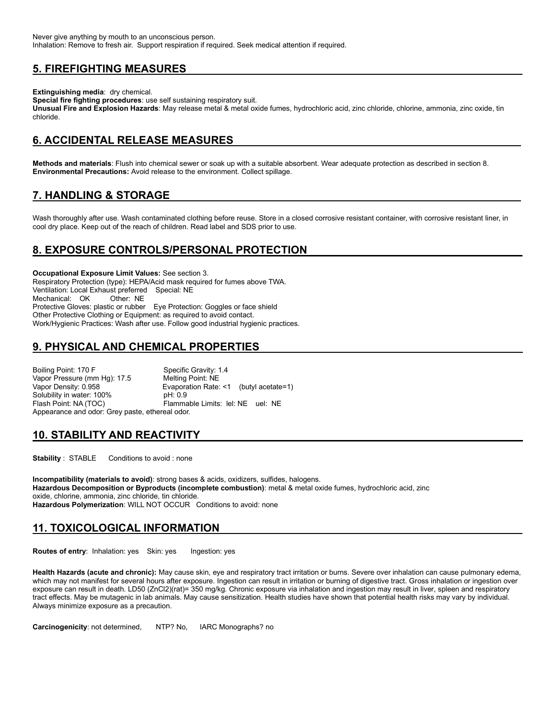# **5. FIREFIGHTING MEASURES**

**Extinguishing media**: dry chemical.

**Special fire fighting procedures**: use self sustaining respiratory suit.

**Unusual Fire and Explosion Hazards**: May release metal & metal oxide fumes, hydrochloric acid, zinc chloride, chlorine, ammonia, zinc oxide, tin chloride.

### **6. ACCIDENTAL RELEASE MEASURES**

**Methods and materials**: Flush into chemical sewer or soak up with a suitable absorbent. Wear adequate protection as described in section 8. **Environmental Precautions:** Avoid release to the environment. Collect spillage.

# **7. HANDLING & STORAGE**

Wash thoroughly after use. Wash contaminated clothing before reuse. Store in a closed corrosive resistant container, with corrosive resistant liner, in cool dry place. Keep out of the reach of children. Read label and SDS prior to use.

# **8. EXPOSURE CONTROLS/PERSONAL PROTECTION**

**Occupational Exposure Limit Values:** See section 3. Respiratory Protection (type): HEPA/Acid mask required for fumes above TWA. Ventilation: Local Exhaust preferred Special: NE Mechanical: OK Other: NE Protective Gloves: plastic or rubber Eye Protection: Goggles or face shield Other Protective Clothing or Equipment: as required to avoid contact. Work/Hygienic Practices: Wash after use. Follow good industrial hygienic practices.

# **9. PHYSICAL AND CHEMICAL PROPERTIES**

Boiling Point: 170 F<br>
Vapor Pressure (mm Hg): 17.5 Melting Point: NE Vapor Pressure (mm Hg): 17.5 Vapor Density: 0.958 Evaporation Rate: <1 (butyl acetate=1) Solubility in water: 100% pH: 0.9<br>Flash Point: NA (TOC) Flamma Flammable Limits: lel: NE uel: NE Appearance and odor: Grey paste, ethereal odor.

#### **10. STABILITY AND REACTIVITY**

**Stability** : STABLE Conditions to avoid : none

**Incompatibility (materials to avoid)**: strong bases & acids, oxidizers, sulfides, halogens. **Hazardous Decomposition or Byproducts (incomplete combustion)**: metal & metal oxide fumes, hydrochloric acid, zinc oxide, chlorine, ammonia, zinc chloride, tin chloride. **Hazardous Polymerization**: WILL NOT OCCUR Conditions to avoid: none

# **11. TOXICOLOGICAL INFORMATION**

**Routes of entry:** Inhalation: yes Skin: yes Ingestion: yes

**Health Hazards (acute and chronic):** May cause skin, eye and respiratory tract irritation or burns. Severe over inhalation can cause pulmonary edema, which may not manifest for several hours after exposure. Ingestion can result in irritation or burning of digestive tract. Gross inhalation or ingestion over exposure can result in death. LD50 (ZnCl2)(rat)= 350 mg/kg. Chronic exposure via inhalation and ingestion may result in liver, spleen and respiratory tract effects. May be mutagenic in lab animals. May cause sensitization. Health studies have shown that potential health risks may vary by individual. Always minimize exposure as a precaution.

**Carcinogenicity**: not determined, NTP? No, IARC Monographs? no